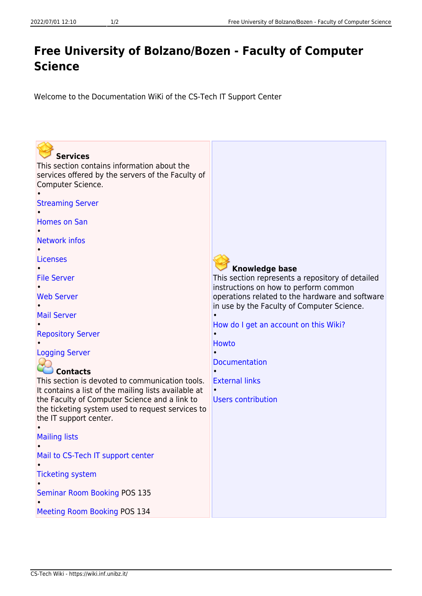## **Free University of Bolzano/Bozen - Faculty of Computer Science**

Welcome to the Documentation WiKi of the CS-Tech IT Support Center